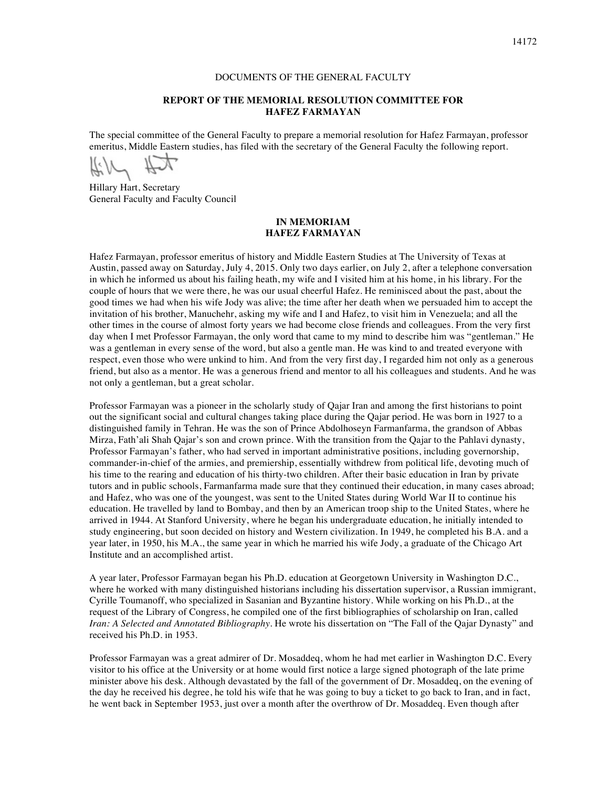## DOCUMENTS OF THE GENERAL FACULTY

## **REPORT OF THE MEMORIAL RESOLUTION COMMITTEE FOR HAFEZ FARMAYAN**

The special committee of the General Faculty to prepare a memorial resolution for Hafez Farmayan, professor emeritus, Middle Eastern studies, has filed with the secretary of the General Faculty the following report.

A:N

Hillary Hart, Secretary General Faculty and Faculty Council

## **IN MEMORIAM HAFEZ FARMAYAN**

Hafez Farmayan, professor emeritus of history and Middle Eastern Studies at The University of Texas at Austin, passed away on Saturday, July 4, 2015. Only two days earlier, on July 2, after a telephone conversation in which he informed us about his failing heath, my wife and I visited him at his home, in his library. For the couple of hours that we were there, he was our usual cheerful Hafez. He reminisced about the past, about the good times we had when his wife Jody was alive; the time after her death when we persuaded him to accept the invitation of his brother, Manuchehr, asking my wife and I and Hafez, to visit him in Venezuela; and all the other times in the course of almost forty years we had become close friends and colleagues. From the very first day when I met Professor Farmayan, the only word that came to my mind to describe him was "gentleman." He was a gentleman in every sense of the word, but also a gentle man. He was kind to and treated everyone with respect, even those who were unkind to him. And from the very first day, I regarded him not only as a generous friend, but also as a mentor. He was a generous friend and mentor to all his colleagues and students. And he was not only a gentleman, but a great scholar.

Professor Farmayan was a pioneer in the scholarly study of Qajar Iran and among the first historians to point out the significant social and cultural changes taking place during the Qajar period. He was born in 1927 to a distinguished family in Tehran. He was the son of Prince Abdolhoseyn Farmanfarma, the grandson of Abbas Mirza, Fath'ali Shah Qajar's son and crown prince. With the transition from the Qajar to the Pahlavi dynasty, Professor Farmayan's father, who had served in important administrative positions, including governorship, commander-in-chief of the armies, and premiership, essentially withdrew from political life, devoting much of his time to the rearing and education of his thirty-two children. After their basic education in Iran by private tutors and in public schools, Farmanfarma made sure that they continued their education, in many cases abroad; and Hafez, who was one of the youngest, was sent to the United States during World War II to continue his education. He travelled by land to Bombay, and then by an American troop ship to the United States, where he arrived in 1944. At Stanford University, where he began his undergraduate education, he initially intended to study engineering, but soon decided on history and Western civilization. In 1949, he completed his B.A. and a year later, in 1950, his M.A., the same year in which he married his wife Jody, a graduate of the Chicago Art Institute and an accomplished artist.

A year later, Professor Farmayan began his Ph.D. education at Georgetown University in Washington D.C., where he worked with many distinguished historians including his dissertation supervisor, a Russian immigrant, Cyrille Toumanoff, who specialized in Sasanian and Byzantine history. While working on his Ph.D., at the request of the Library of Congress, he compiled one of the first bibliographies of scholarship on Iran, called *Iran: A Selected and Annotated Bibliography*. He wrote his dissertation on "The Fall of the Qajar Dynasty" and received his Ph.D. in 1953.

Professor Farmayan was a great admirer of Dr. Mosaddeq, whom he had met earlier in Washington D.C. Every visitor to his office at the University or at home would first notice a large signed photograph of the late prime minister above his desk. Although devastated by the fall of the government of Dr. Mosaddeq, on the evening of the day he received his degree, he told his wife that he was going to buy a ticket to go back to Iran, and in fact, he went back in September 1953, just over a month after the overthrow of Dr. Mosaddeq. Even though after